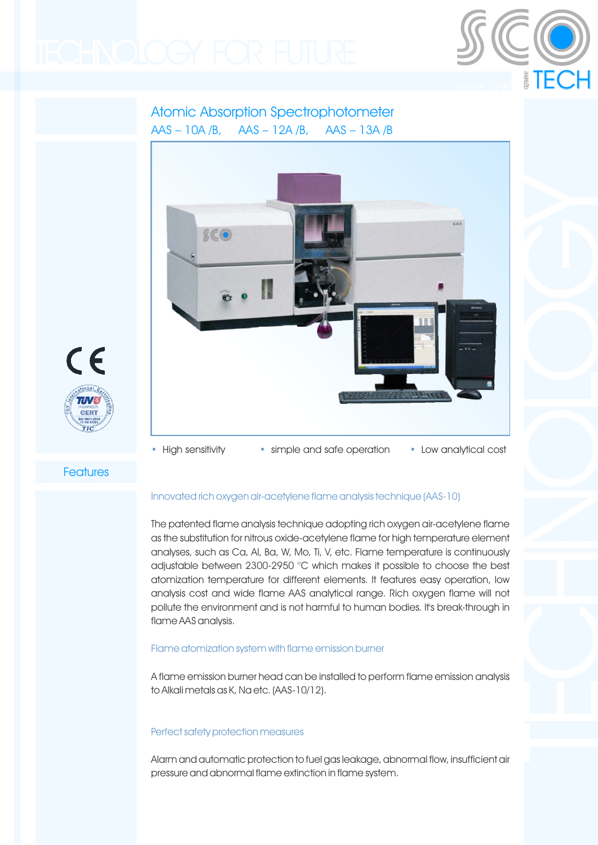

## Atomic Absorption Spectrophotometer AAS – 10A /B, AAS – 12A /B, AAS – 13A /B





• High sensitivity • simple and safe operation • Low analytical cost

**Features** 

#### Innovated rich oxygen air-acetylene flame analysis technique (AAS-10)

The patented flame analysis technique adopting rich oxygen air-acetylene flame as the substitution for nitrous oxide-acetylene flame for high temperature element analyses, such as Ca, Al, Ba, W, Mo, Ti, V, etc. Flame temperature is continuously adjustable between 2300-2950 °C which makes it possible to choose the best atomization temperature for different elements. It features easy operation, low analysis cost and wide flame AAS analytical range. Rich oxygen flame will not pollute the environment and is not harmful to human bodies. It's break-through in flame AAS analysis.

#### Flame atomization system with flame emission burner

A flame emission burner head can be installed to perform flame emission analysis to Alkali metals as K, Na etc. (AAS-10/12).

#### Perfect safety protection measures

Alarm and automatic protection to fuel gas leakage, abnormal flow, insufficient air pressure and abnormal flame extinction in flame system.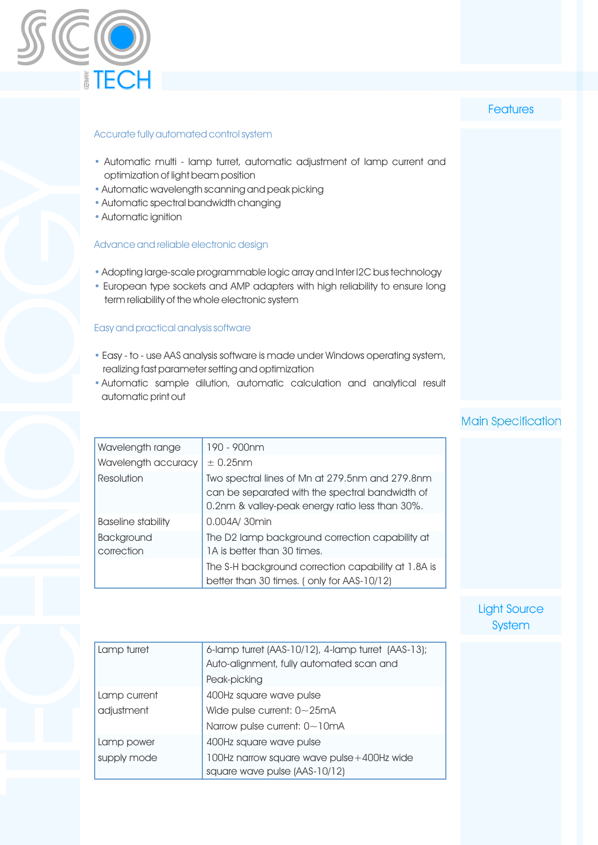

## **Features**

#### Accurate fully automated control system

- Automatic multi lamp turret, automatic adjustment of lamp current and optimization of light beam position
- Automatic wavelength scanning and peak picking
- Automatic spectral bandwidth changing
- Automatic ignition

#### Advance and reliable electronic design

- Adopting large-scale programmable logic array and Inter I2C bus technology
- European type sockets and AMP adapters with high reliability to ensure long term reliability of the whole electronic system

#### Easy and practical analysis software

- Easy to use AAS analysis software is made under Windows operating system, realizing fast parameter setting and optimization
- Automatic sample dilution, automatic calculation and analytical result automatic print out

## Main Specification

| Wavelength range                | 190 - 900nm                                                                                                                                           |  |  |  |  |
|---------------------------------|-------------------------------------------------------------------------------------------------------------------------------------------------------|--|--|--|--|
| Wavelength accuracy             | $\pm$ 0.25nm                                                                                                                                          |  |  |  |  |
| Resolution                      | Two spectral lines of Mn at 279.5nm and 279.8nm<br>can be separated with the spectral bandwidth of<br>0.2nm & valley-peak energy ratio less than 30%. |  |  |  |  |
| Baseline stability              | 0.004A/ 30min                                                                                                                                         |  |  |  |  |
| <b>Background</b><br>correction | The D2 lamp background correction capability at<br>1A is better than 30 times.                                                                        |  |  |  |  |
|                                 | The S-H background correction capability at 1.8A is<br>better than 30 times. (only for AAS-10/12)                                                     |  |  |  |  |

## Light Source **System**

| Lamp turret  | 6-lamp turret (AAS-10/12), 4-lamp turret (AAS-13);<br>Auto-alignment, fully automated scan and |  |
|--------------|------------------------------------------------------------------------------------------------|--|
|              | Peak-picking                                                                                   |  |
| Lamp current | 400Hz square wave pulse                                                                        |  |
| adjustment   | Wide pulse current: $0 - 25mA$                                                                 |  |
|              | Narrow pulse current: 0~10mA                                                                   |  |
| Lamp power   | 400Hz square wave pulse                                                                        |  |
| supply mode  | 100Hz narrow square wave pulse +400Hz wide                                                     |  |
|              | square wave pulse (AAS-10/12)                                                                  |  |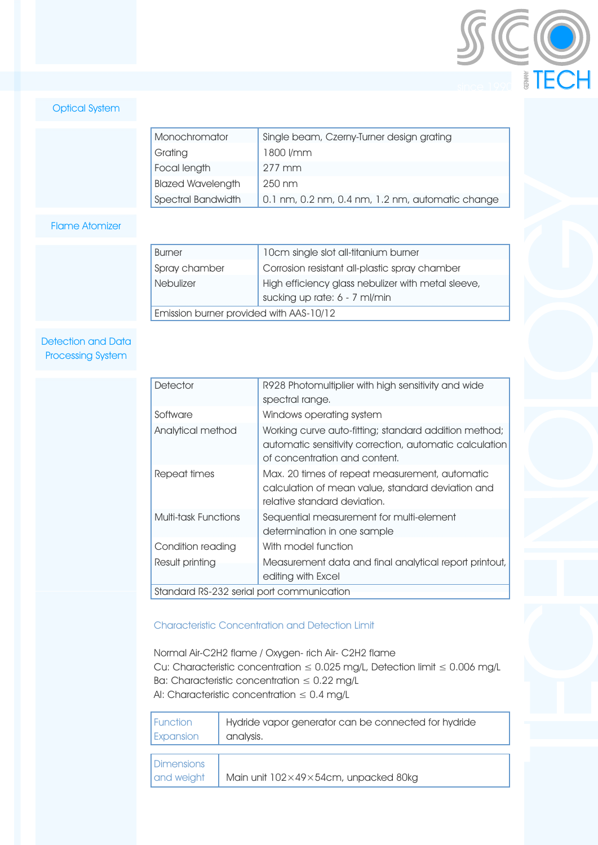

## Optical System

| Monochromator            | Single beam, Czerny-Turner design grating        |  |  |
|--------------------------|--------------------------------------------------|--|--|
| Grating                  | 1800 l/mm                                        |  |  |
| Focal length             | $277 \text{ mm}$                                 |  |  |
| <b>Blazed Wavelength</b> | $250 \text{ nm}$                                 |  |  |
| Spectral Bandwidth       | 0.1 nm, 0.2 nm, 0.4 nm, 1.2 nm, automatic change |  |  |

### Flame Atomizer

| Burner                                  | 10cm single slot all-titanium burner                                                |  |  |  |
|-----------------------------------------|-------------------------------------------------------------------------------------|--|--|--|
| Spray chamber                           | Corrosion resistant all-plastic spray chamber                                       |  |  |  |
| <b>Nebulizer</b>                        | High efficiency glass nebulizer with metal sleeve,<br>sucking up rate: 6 - 7 ml/min |  |  |  |
| Emission burner provided with AAS-10/12 |                                                                                     |  |  |  |

#### Detection and Data Processing System

| Detector                                  | R928 Photomultiplier with high sensitivity and wide<br>spectral range.                                                                            |  |  |  |
|-------------------------------------------|---------------------------------------------------------------------------------------------------------------------------------------------------|--|--|--|
| Software                                  | Windows operating system                                                                                                                          |  |  |  |
| Analytical method                         | Working curve auto-fitting; standard addition method;<br>automatic sensitivity correction, automatic calculation<br>of concentration and content. |  |  |  |
| Repeat times                              | Max. 20 times of repeat measurement, automatic<br>calculation of mean value, standard deviation and<br>relative standard deviation.               |  |  |  |
| Multi-task Functions                      | Sequential measurement for multi-element<br>determination in one sample                                                                           |  |  |  |
| Condition reading                         | With model function                                                                                                                               |  |  |  |
| Result printing                           | Measurement data and final analytical report printout,<br>editing with Excel                                                                      |  |  |  |
| Standard RS-232 serial port communication |                                                                                                                                                   |  |  |  |

## Characteristic Concentration and Detection Limit

Normal Air-C2H2 flame / Oxygen- rich Air- C2H2 flame Cu: Characteristic concentration ≤ 0.025 mg/L, Detection limit ≤ 0.006 mg/L Ba: Characteristic concentration  $\leq 0.22$  mg/L Al: Characteristic concentration  $\leq 0.4$  mg/L

| l Function                      | Hydride vapor generator can be connected for hydride |
|---------------------------------|------------------------------------------------------|
| Expansion                       | analysis.                                            |
| <b>Dimensions</b><br>and weight | Main unit 102×49×54cm, unpacked 80kg                 |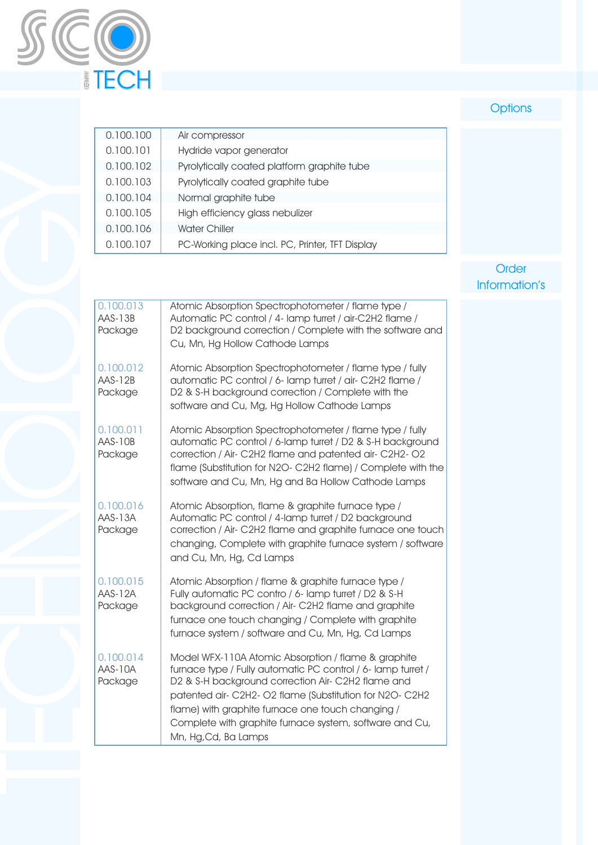

# **Options**

| 0.100.100 | Air compressor                                  |
|-----------|-------------------------------------------------|
| 0.100.101 | Hydride vapor generator                         |
| 0.100.102 | Pyrolytically coated platform graphite tube     |
| 0.100.103 | Pyrolytically coated graphite tube              |
| 0.100.104 | Normal graphite tube                            |
| 0.100.105 | High efficiency glass nebulizer                 |
| 0.100.106 | <b>Water Chiller</b>                            |
| 0.100.107 | PC-Working place incl. PC, Printer, TFT Display |

## Order Information's

| 0.100.013<br>AAS-13B<br>Package | Atomic Absorption Spectrophotometer / flame type /<br>Automatic PC control / 4- lamp turret / air-C2H2 flame /<br>D2 background correction / Complete with the software and<br>Cu, Mn, Hg Hollow Cathode Lamps                                                                                                                                                                |
|---------------------------------|-------------------------------------------------------------------------------------------------------------------------------------------------------------------------------------------------------------------------------------------------------------------------------------------------------------------------------------------------------------------------------|
| 0.100.012<br>AAS-12B<br>Package | Atomic Absorption Spectrophotometer / flame type / fully<br>automatic PC control / 6- lamp turret / air- C2H2 flame /<br>D2 & S-H background correction / Complete with the<br>software and Cu, Mg, Hg Hollow Cathode Lamps                                                                                                                                                   |
| 0.100.011<br>AAS-10B<br>Package | Atomic Absorption Spectrophotometer / flame type / fully<br>automatic PC control / 6-lamp turret / D2 & S-H background<br>correction / Air- C2H2 flame and patented air- C2H2- O2<br>flame (Substitution for N2O-C2H2 flame) / Complete with the<br>software and Cu, Mn, Hg and Ba Hollow Cathode Lamps                                                                       |
| 0.100.016<br>AAS-13A<br>Package | Atomic Absorption, flame & graphite furnace type /<br>Automatic PC control / 4-lamp turret / D2 background<br>correction / Air- C2H2 flame and graphite furnace one touch<br>changing, Complete with graphite furnace system / software<br>and Cu, Mn, Hg, Cd Lamps                                                                                                           |
| 0.100.015<br>AAS-12A<br>Package | Atomic Absorption / flame & graphite furnace type /<br>Fully automatic PC contro / 6- lamp turret / D2 & S-H<br>background correction / Air- C2H2 flame and graphite<br>furnace one touch changing / Complete with graphite<br>furnace system / software and Cu, Mn, Hg, Cd Lamps                                                                                             |
| 0.100.014<br>AAS-10A<br>Package | Model WFX-110A Atomic Absorption / flame & graphite<br>furnace type / Fully automatic PC control / 6- lamp turret /<br>D2 & S-H background correction Air- C2H2 flame and<br>patented air- C2H2- O2 flame (Substitution for N2O- C2H2<br>flame) with graphite furnace one touch changing /<br>Complete with graphite furnace system, software and Cu,<br>Mn, Hg, Cd, Ba Lamps |